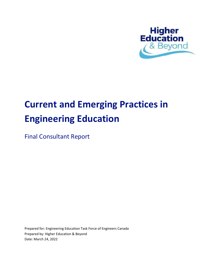

# **Current and Emerging Practices in Engineering Education**

Final Consultant Report

Prepared for: Engineering Education Task Force of Engineers Canada Prepared by: Higher Education & Beyond Date: March 24, 2022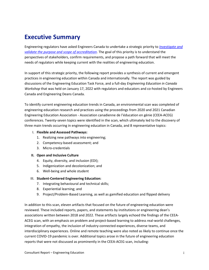# <span id="page-1-0"></span>**Executive Summary**

Engineering regulators have asked Engineers Canada to undertake a strategic priority to *[Investigate and](https://engineerscanada.ca/about/governance/a-vision-for-collaboration#1x1)  [validate the purpose and scope of accreditation](https://engineerscanada.ca/about/governance/a-vision-for-collaboration#1x1)*. The goal of this priority is to understand the perspectives of stakeholders, confirm requirements, and propose a path forward that will meet the needs of regulators while keeping current with the realities of engineering education.

In support of this strategic priority, the following report provides a synthesis of current and emergent practices in engineering education within Canada and internationally. The report was guided by discussions of the Engineering Education Task Force, and a full-day *Engineering Education in Canada Workshop* that was held on January 17, 2022 with regulators and educators and co-hosted by Engineers Canada and Engineering Deans Canada.

To identify current engineering education trends in Canada, an environmental scan was completed of engineering education research and practices using the proceedings from 2020 and 2021 Canadian Engineering Education Association - Association canadienne de l'éducation en génie (CEEA-ACEG) conferences. Twenty-seven topics were identified in the scan, which ultimately led to the discovery of three main trends occurring in engineering education in Canada, and 8 representative topics:

#### I. **Flexible and Assessed Pathways:**

- 1. Realizing new pathways into engineering;
- 2. Competency-based assessment; and
- 3. Micro-credentials

#### **II. Open and Inclusive Culture**

- 4. Equity, diversity, and inclusion (EDI);
- 5. Indigenization and decolonization; and
- 6. Well-being and whole student

#### III. **Student-Centered Engineering Education:**

- 7. Integrating behavioural and technical skills;
- 8. Experiential learning; and
- 9. Project/Problem-Based Learning, as well as gamified education and flipped delivery

In addition to this scan, eleven artifacts that focused on the future of engineering education were reviewed. These included reports, papers, and statements by institutions or engineering dean's associations written between 2018 and 2022. These artifacts largely echoed the findings of the CEEA-ACEG scan, with an emphasis on problem and project-based learning to address real-world challenges, integration of empathy, the inclusion of industry-connected experiences, diverse teams, and interdisciplinary experiences. Online and remote teaching were also noted as likely to continue once the current COVID-19 pandemic is over. Additional topics arose in the future of engineering education reports that were not discussed as prominently in the CEEA-ACEG scan, including: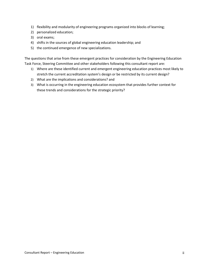- 1) flexibility and modularity of engineering programs organized into blocks of learning;
- 2) personalized education;
- 3) oral exams;
- 4) shifts in the sources of global engineering education leadership; and
- 5) the continued emergence of new specializations.

The questions that arise from these emergent practices for consideration by the Engineering Education Task Force, Steering Committee and other stakeholders following this consultant report are:

- 1) Where are these identified current and emergent engineering education practices most likely to stretch the current accreditation system's design or be restricted by its current design?
- 2) What are the implications and considerations? and
- 3) What is occurring in the engineering education ecosystem that provides further context for these trends and considerations for the strategic priority?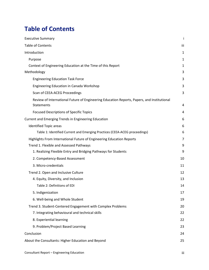# <span id="page-3-0"></span>**Table of Contents**

| <b>Executive Summary</b>                                                                                        | Ť   |
|-----------------------------------------------------------------------------------------------------------------|-----|
| <b>Table of Contents</b>                                                                                        | iii |
| Introduction                                                                                                    | 1   |
| Purpose                                                                                                         | 1   |
| Context of Engineering Education at the Time of this Report                                                     | 1   |
| Methodology                                                                                                     | 3   |
| <b>Engineering Education Task Force</b>                                                                         | 3   |
| Engineering Education in Canada Workshop                                                                        | 3   |
| Scan of CEEA-ACEG Proceedings                                                                                   | 3   |
| Review of International Future of Engineering Education Reports, Papers, and Institutional<br><b>Statements</b> | 4   |
| <b>Focused Descriptions of Specific Topics</b>                                                                  | 4   |
| Current and Emerging Trends in Engineering Education                                                            | 6   |
| <b>Identified Topic areas</b>                                                                                   | 6   |
| Table 1: Identified Current and Emerging Practices (CEEA-ACEG proceedings)                                      | 6   |
| Highlights From International Future of Engineering Education Reports                                           | 7   |
| Trend 1. Flexible and Assessed Pathways                                                                         | 9   |
| 1. Realizing Flexible Entry and Bridging Pathways for Students                                                  | 9   |
| 2. Competency-Based Assessment                                                                                  | 10  |
| 3. Micro-credentials                                                                                            | 11  |
| Trend 2. Open and Inclusive Culture                                                                             | 12  |
| 4. Equity, Diversity, and Inclusion                                                                             | 13  |
| Table 2: Definitions of EDI                                                                                     | 14  |
| 5. Indigenization                                                                                               | 17  |
| 6. Well-being and Whole Student                                                                                 | 19  |
| Trend 3. Student-Centered Engagement with Complex Problems                                                      | 20  |
| 7. Integrating behavioural and technical skills                                                                 | 22  |
| 8. Experiential learning                                                                                        | 22  |
| 9. Problem/Project Based Learning                                                                               | 23  |
| Conclusion                                                                                                      | 24  |
| About the Consultants: Higher Education and Beyond                                                              | 25  |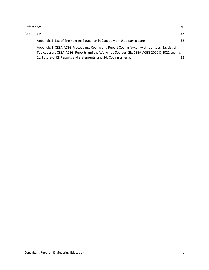| References                                                                                     | 26 |  |
|------------------------------------------------------------------------------------------------|----|--|
| Appendices                                                                                     | 32 |  |
| Appendix 1: List of Engineering Education in Canada workshop participants                      | 32 |  |
| Appendix 2: CEEA-ACEG Proceedings Coding and Report Coding (excel) with four tabs: 2a. List of |    |  |
| Topics across CEEA-ACEG, Reports and the Workshop Sources; 2b. CEEA-ACEG 2020 & 2021 coding;   |    |  |
| 2c. Future of EE Reports and statements; and 2d. Coding criteria.                              | 32 |  |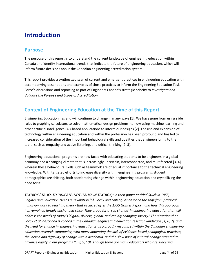# <span id="page-5-0"></span>**Introduction**

### <span id="page-5-1"></span>**Purpose**

The purpose of this report is to understand the current landscape of engineering education within Canada and identify international trends that indicate the future of engineering education, which will inform future decisions about the Canadian engineering accreditation system.

This report provides a synthesized scan of current and emergent practices in engineering education with accompanying descriptions and examples of those practices to inform the Engineering Education Task Force's discussions and reporting as part of Engineers Canada's strategic priority to *Investigate and Validate the Purpose and Scope of Accreditation*.

# <span id="page-5-2"></span>**Context of Engineering Education at the Time of this Report**

Engineering Education has and will continue to change in many ways [1]. We have gone from using slide rules to graphing calculators to solve mathematical design problems, to now using machine learning and other artificial intelligence (AI)-based applications to inform our designs [2]. The use and expansion of technology within engineering education and within the profession has been profound and has led to increased consideration of the important behavioural skills and qualities that engineers bring to the table, such as empathy and active listening, and critical thinking [2, 3].

Engineering educational programs are now faced with educating students to be engineers in a global economy and a changing climate that is increasingly uncertain, interconnected, and multifaceted [3, 4], wherein these behavioural skills such as teamwork are of equal importance to the technical engineering knowledge. With targeted efforts to increase diversity within engineering programs, student demographics are shifting, both accelerating change within engineering education and crystallizing the need for it.

*TEXTBOX (ITALICS TO INDICATE, NOT ITALICS IN TEXTBOX): In their paper entitled Stuck in 1955, Engineering Education Needs a Revolution [5], Sorby and colleagues describe the shift from practical hands-on work to teaching theory that occurred after the 1955 Grinter Report, and how this approach has remained largely unchanged since. They argue for a 'sea change' in engineering education that will address the needs of today's 'digital, diverse, global, and rapidly changing society.' The situation that Sorby et al. described is echoed in the Canadian engineering education research landscape [1, 6, 7], and the need for change in engineering education is also broadly recognized within the Canadian engineering education research community, with many lamenting the lack of evidence-based pedagogical practices, the inertia and difficulty of change within academia, and the slow pace of cultural-change required to advance equity in our programs [1, 8, 9, 10]. Though there are many educators who are 'tinkering*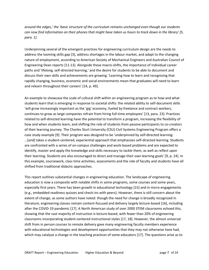*around the edges,' the 'basic structure of the curriculum remains unchanged even though our students can now find information on their phones that might have taken us hours to track down in the library' [5, para. 1].*

Underpinning several of the emergent practices for engineering curriculum design are the needs to address the looming skills gap [3], address shortages in the labour market, and adapt to the changing nature of employment, according to American Society of Mechanical Engineers and Australian Council of Engineering Dean reports [11-13]. Alongside these macro-shifts, the importance of individual career paths and 'lifelong, self-directed learning,' and the desire for students to be able to document and discuss their own skills and achievements are growing. 'Learning how to learn and recognising that rapidly changing, business, economic and social environments mean that graduates will need to learn and relearn throughout their careers' [14, p. 49].

An example to showcase the scale of cultural shift within an engineering program as to how and what students learn that is emerging in response to societal shifts: the related ability to self-document skills 'will grow increasingly important as the 'gig' economy, fueled by freelance and contract workers, continues to grow as large companies refrain from hiring full-time employees' [13, para. 23]. Practices related to self-directed learning have the potential to transform a program, increasing the flexibility of how and when students learn, and shifting the role of students from passive participants to co-creators of their learning journey. The Charles Sturt University (CSU) Civil Systems Engineering Program offers a case study example [9]. Their program was designed to be 'underpinned by self-directed learning: …[and] takes a student-centered, experiential approach that emphasizes self-directed learning. Students are confronted with a series of on-campus challenges and work-based problems and are expected to identify, master and apply the knowledge and skills necessary to tackle them, as well as reflect upon their learning. Students are also encouraged to direct and manage their own learning goals' [9, p. 24]. In this example, coursework, class time activities, assessments and the role of faculty and students have all shifted from traditional didactic approaches.

This report outlines substantial changes in engineering education. The landscape of engineering education is now a composite with notable shifts in some programs, some courses and some years, especially first years. There has been growth in educational technology [15] and in micro-engagements (e.g., embedded readiness quizzes and check-ins with peers). However, there is still concern about the extent of change, as some authors have noted: though the need for change is broadly recognized in literature, engineering classes remain content-focused and delivery largely lecture-based [16], including after the COVID-19 pandemic [17]. A North American study of over 2000 STEM classrooms echoed this, showing that the vast majority of instruction is lecture-based, with fewer than 20% of engineering classrooms incorporating student-centered instructional styles [17, 18]. However, the almost universal shift from in person courses to remote delivery gave many engineering faculty members experience with educational technologies and development opportunities that they may not otherwise have had, which may catalyze a change in the teaching practices of some educators [17]. The questions arise as to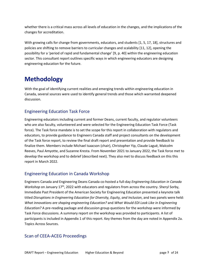whether there is a critical mass across all levels of education in the changes, and the implications of the changes for accreditation.

With growing calls for change from governments, educators, and students [1, 5, 17, 18], structures and policies are shifting to remove barriers to curricular changes and scalability [11, 12], opening the possibility for a 'period of rapid and fundamental change' [9, p. 40] within the engineering education sector. This consultant report outlines specific ways in which engineering educators are designing engineering education for the future.

# <span id="page-7-0"></span>**Methodology**

With the goal of identifying current realities and emerging trends within engineering education in Canada, several sources were used to identify general trends and those which warranted deepened discussion.

### <span id="page-7-1"></span>Engineering Education Task Force

Engineering educators including current and former Deans, current faculty, and regulator volunteers who are also faculty, volunteered and were selected for the Engineering Education Task Force (Task force). The Task force mandate is to set the scope for this report in collaboration with regulators and educators, to provide guidance to Engineers Canada staff and project consultants on the development of the Task force report, to review the final draft report and presentation and provide feedback to finalize them. Members include Michael Isaacson (chair), Christopher Yip, Claude Laguë, Malcolm Reeves, Paul Amyotte, and Suzanne Kresta. From November 2021 to January 2022, the Task force met to develop the workshop and to debrief (described next). They also met to discuss feedback on this this report in March 2022.

### <span id="page-7-2"></span>Engineering Education in Canada Workshop

Engineers Canada and Engineering Deans Canada co-hosted a full-day *Engineering Education in Canada Workshop* on January 17<sup>th</sup>, 2022 with educators and regulators from across the country. Sheryl Sorby, Immediate Past President of the American Society for Engineering Education presented a keynote talk titled *Disruptions in Engineering Education for Diversity, Equity, and Inclusion*, and two panels were held: *What innovations are shaping engineering Education?* and *What Would EDI Look Like in Engineering Education?* A pre-reading package and discussion group questions for the workshop were informed by Task Force discussions. A summary report on the workshop was provided to participants. A list of participants is included in Appendix 1 of this report. Key themes from the day are noted in Appendix 2a. Topics Across Sources.

### <span id="page-7-3"></span>Scan of CEEA-ACEG Proceedings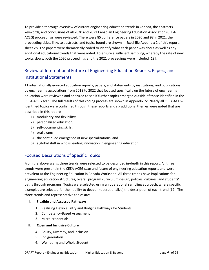To provide a thorough overview of current engineering education trends in Canada, the abstracts, keywords, and conclusions of all 2020 and 2021 Canadian Engineering Education Association (CEEA-ACEG) proceedings were reviewed. There were 85 conference papers in 2020 and 98 in 2021; the proceeding titles, links to abstracts, and topics found are shown in Excel file Appendix 2 of this report, sheet 2b. The papers were thematically coded to identify what each paper was about as well as any additional educational trends that were noted. To ensure a sufficient sampling, whereby the rate of new topics slows, both the 2020 proceedings and the 2021 proceedings were included [19].

# <span id="page-8-0"></span>Review of International Future of Engineering Education Reports, Papers, and Institutional Statements

11 internationally-sourced education reports, papers, and statements by institutions, and publications by engineering associations from 2018 to 2022 that focused specifically on the future of engineering education were reviewed and analyzed to see if further topics emerged outside of those identified in the CEEA-ACEG scan. The full results of this coding process are shown in Appendix 2c. Nearly all CEEA-ACEGidentified topics were confirmed through these reports and six additional themes were noted that are described in this report:

- 1) modularity and flexibility;
- 2) personalized education;
- 3) self-documenting skills;
- 4) oral exams;
- 5) the continued emergence of new specializations; and
- 6) a global shift in who is leading innovation in engineering education.

### <span id="page-8-1"></span>Focused Descriptions of Specific Topics

From the above scans, three trends were selected to be described in-depth in this report. All three trends were present in the CEEA-ACEG scan and future of engineering education reports and were prevalent at the Engineering Education in Canada Workshop. All three trends have implications for engineering education structures, overall program curriculum design, policies, cultures, and students' paths through programs. Topics were selected using an operational sampling approach, where specific examples are selected for their ability to deepen (operationalize) the description of each trend [19]. The three trends and representative topics are:

#### **I. Flexible and Assessed Pathways**

- 1. Realizing Flexible Entry and Bridging Pathways for Students
- 2. Competency-Based Assessment
- 3. Micro-credentials

#### **II. Open and Inclusive Culture**

- 4. Equity, Diversity, and Inclusion
- 5. Indigenization
- 6. Well-being and Whole Student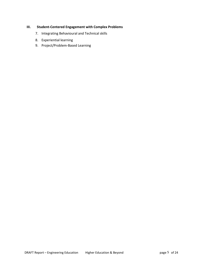#### **III. Student-Centered Engagement with Complex Problems**

- 7. Integrating Behavioural and Technical skills
- 8. Experiential learning
- 9. Project/Problem-Based Learning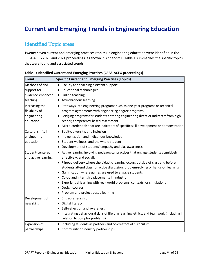# <span id="page-10-0"></span>**Current and Emerging Trends in Engineering Education**

# <span id="page-10-1"></span>Identified Topic areas

Twenty-seven current and emerging practices (topics) in engineering education were identified in the CEEA-ACEG 2020 and 2021 proceedings, as shown in Appendix 1. Table 1 summarizes the specific topics that were found and associated trends.

| <b>Trend</b>        | <b>Specific Current and Emerging Practices (Topics)</b>                                 |
|---------------------|-----------------------------------------------------------------------------------------|
| Methods of and      | Faculty and teaching assistant support                                                  |
| support for         | <b>Educational technologies</b>                                                         |
| evidence-enhanced   | • Online teaching                                                                       |
| teaching            | • Asynchronous learning                                                                 |
| Increasing the      | • Pathways into engineering programs such as one-year programs or technical             |
| flexibility of      | program agreements with engineering degree programs                                     |
| engineering         | Bridging programs for students entering engineering direct or indirectly from high      |
| education           | school; competency-based assessment                                                     |
|                     | • Micro-credentials that are indicators of specific skill development or demonstration  |
| Cultural shifts in  | • Equity, diversity, and inclusion                                                      |
| engineering         | Indigenization and Indigenous knowledge                                                 |
| education           | Student wellness, and the whole student                                                 |
|                     | Development of students' empathy and bias awareness                                     |
| Student-centered    | • Active learning involving pedagogical practices that engage students cognitively,     |
| and active learning | affectively, and socially                                                               |
|                     | Flipped delivery where the didactic learning occurs outside of class and before         |
|                     | students attend class for active discussion, problem-solving or hands-on learning       |
|                     | • Gamification where games are used to engage students                                  |
|                     | • Co-op and internship placements in industry                                           |
|                     | Experiential learning with real-world problems, contexts, or simulations                |
|                     | Design courses                                                                          |
|                     | • Problem and project-based learning                                                    |
| Development of      | Entrepreneurship<br>$\bullet$                                                           |
| new skills          | Digital literacy                                                                        |
|                     | Self-reflection and awareness                                                           |
|                     | Integrating behavioural skills of lifelong learning, ethics, and teamwork (including in |
|                     | relation to complex problems)                                                           |
| Expansion of        | Including students as partners and co-creators of curriculum<br>$\bullet$               |
| partnerships        | • Community or industry partnerships                                                    |

<span id="page-10-2"></span>**Table 1: Identified Current and Emerging Practices (CEEA-ACEG proceedings)**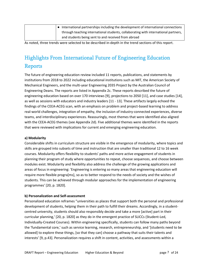| • International partnerships including the development of international connections |
|-------------------------------------------------------------------------------------|
| through teaching international students, collaborating with international partners, |
| and students being sent to and received from abroad                                 |

<span id="page-11-0"></span>As noted, three trends were selected to be described in-depth in the trend sections of this report.

# Highlights From International Future of Engineering Education Reports

The future of engineering education review included 11 reports, publications, and statements by institutions from 2018 to 2022 including educational institutions such as MIT, the American Society of Mechanical Engineers, and the multi-year Engineering 2035 Project by the Australian Council of Engineering Deans. The reports are listed in Appendix 2c. These reports described the future of engineering education based on over 170 interviews [9], projections to 2050 [11], and case studies [14], as well as sessions with educators and industry leaders [11 - 13]. These artifacts largely echoed the findings of the CEEA-ACEG scan, with an emphasis on problem and project-based learning to address real-world challenges, integration of empathy, the inclusion of industry-connected experiences, diverse teams, and interdisciplinary experiences. Reassuringly, most themes that were identified also aligned with the CEEA-ACEG themes (see Appendix 2d). Five additional themes were identified in the reports that were reviewed with implications for current and emerging engineering education.

#### **a) Modularity**

Considerable shifts in curriculum structure are visible in the emergence of modularity, where topics and skills are grouped into subsets of time and instruction that are smaller than traditional 12 to 16 week courses. Modularity offers flexibility to students' paths and more active engagement of students in planning their program of study where opportunities to repeat, choose sequences, and choose between modules exist. Modularity and flexibility also address the challenge of the growing applications and areas of focus in engineering: 'Engineering is entering so many areas that engineering education will require more flexible progra[ms], so as to better respond to the needs of society and the wishes of students. This can be achieved through modular approaches for the implementation of engineering programmes' [20, p. 1820].

#### **b) Personalization and Self-assessment**

Personalized education reframes "universities as places that support both the personal and professional development of students, helping them in their path to fulfill their dreams. Accordingly, in a studentcentred university, students should also responsibly decide and take a more [active] part in their curricular planning,' [20, p. 1820] as they do in the emergent practice of SLICCs (Student-Led, Individually-Created Courses). Within engineering specifically, students can follow many paths beyond the 'fundamental core,' such as service learning, research, entrepreneurship, and '[students need to be allowed] to explore these things, [so that they can] choose a pathway that suits their talents and interests' [9, p.43]. Personalization requires a shift in content, activities, and assessments within a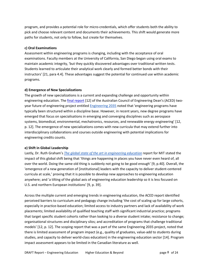program, and provides a potential role for micro-credentials, which offer students both the ability to pick and choose relevant content and documents their achievements. This shift would generate more paths for students, not only to follow, but create for themselves.

#### **c) Oral Examinations**

Assessment within engineering programs is changing, including with the acceptance of oral examinations. Faculty members at the University of California, San Diego began using oral exams to maintain academic integrity, 'but they quickly discovered advantages over traditional written tests. Students learned to articulate their analytical work clearly and formed better bonds with their instructors' [21, para 4.4]. These advantages suggest the potential for continued use within academic programs.

#### **d) Emergence of New Specializations**

The growth of new specializations is a current and expanding challenge and opportunity within engineering education. Th[e final report](https://www.aced.edu.au/downloads/2021%20Engineering%20Change%20-%20The%20future%20of%20engineering%20education%20in%20Australia.pdf) [12] of the Australian Council of Engineering Dean's (ACED) twoyear future of engineering project entitled [Engineering 2035](https://www.aced.edu.au/index.php/examples) noted that 'engineering programs have typically been structured within a discipline base. However, in recent years, new degree programs have emerged that focus on specialisations in emerging and converging disciplines such as aerospace systems, biomedical, environmental, mechatronics, resources, and renewable energy engineering' [12, p. 12]. The emergence of new specializations comes with new curricula that may extend further into interdisciplinary collaborations and courses outside engineering with potential implications for engineering credits counts.

#### **e) Shift in Global Leadership**

Lastly, Dr. Ruth Graham's *[The global state of the art in engineering education](https://jwel.mit.edu/sites/mit-jwel/files/assets/files/neet_global_state_of_eng_edu_180330.pdf)* report for MIT stated the impact of this global shift being that 'things are happening in places you have never even heard of, all over the world. Doing the same old thing is suddenly not going to be good enough' [9, p.40]. Overall, the 'emergence of a new generation of [institutional] leaders with the capacity to deliver student-centered curricula at scale,' proving that it is possible to develop new approaches to engineering education anywhere; and 'a tilting of the global axis of engineering education leadership so it is less focused on U.S. and northern European institutions' [9, p. 39].

Across the multiple current and emerging trends in engineering education, the ACED report identified perceived barriers to curriculum and pedagogy change including 'the cost of scaling up for large cohorts, especially in practice-based education; limited access to industry partners and lack of availability of work placements; limited availability of qualified teaching staff with significant industrial practice; programs that target specific student cohorts rather than looking to a diverse student intake; resistance to change; organisational structures and disciplinary silos; and accreditation of programs that challenge traditional models' [12, p. 12]. The scoping report that was a part of the same Engineering 2035 project, noted that there is limited assessment of program impact (e.g., quality of graduates, value-add to students during studies, and capacity to deliver world-class education) in the engineering education sector [14]. Program impact assessment appears to be limited in the Canadian literature as well.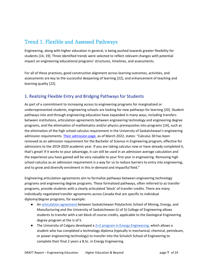# <span id="page-13-0"></span>Trend 1. Flexible and Assessed Pathways

Engineering, along with higher education in general, is being pushed towards greater flexibility for students [14, 19]. Three identified trends were selected to reflect relevant changes with potential impact on engineering educational programs' structures, timelines, and assessments.

For all of these practices, good constructive alignment across learning outcomes, activities, and assessments are key to the successful deepening of learning [22], and enhancement of teaching and learning quality [22].

### <span id="page-13-1"></span>1. Realizing Flexible Entry and Bridging Pathways for Students

As part of a commitment to increasing access to engineering programs for marginalized or underrepresented students, engineering schools are looking for new pathways for learning [20]. Student pathways into and through engineering education have expanded in many ways, including transfers between institutions, articulation agreements between engineering technology and engineering degree programs, and the elimination of mathematics and/or physics prerequisites into programs [14], such as the elimination of the high school calculus requirement in the University of Saskatchewan's engineering admission requirements. [Their admission page,](https://admissions.usask.ca/colleges/engineering.php#CoopInternshipProgram) as of March 2022, states: "Calculus 30 has been removed as an admission requirement for the Bachelor of Science in Engineering program, effective for admissions to the 2019-2020 academic year. If you are taking calculus now or have already completed it, that's great! If it works to your advantage, it can still be used in an admission average calculation and the experience you have gained will be very valuable to your first year in engineering. Removing high school calculus as an admission requirement is a way for us to reduce barriers to entry into engineering, and to grow and diversify enrolment in this in-demand and impactful field."

Engineering articulation agreements aim to formalize pathways between engineering technology programs and engineering degree programs. These formalized pathways, often referred to as transfer programs, provide students with a clearly articulated 'block' of transfer credits. There are many individually negotiated transfer agreements across Canada that are specific to individual diploma/degree programs, for example:

- A[n articulation agreement](https://admissions.usask.ca/requirements/Engineering-Transfer-Agreement-Sask-Poly.pdf) between Saskatchewan Polytechnic School of Mining, Energy, and Manufacturing and the University of Saskatchewan (U of S) College of Engineering allows students to transfer with a set block of course credits, applicable to the Geological Engineering degree program at the U of S.
- $\bullet$  The University of Calgary developed a [2+2 program in Energy Engineering,](https://schulich.ucalgary.ca/future-students/undergraduate/programs/bsc-energy-engineering) which allows a student who has completed a technology diploma (typically in mechanical, chemical, petroleum, or power engineering technology) to transfer into the Schulich School of Engineering to complete their final 2 years a B.Sc. in Energy Engineering.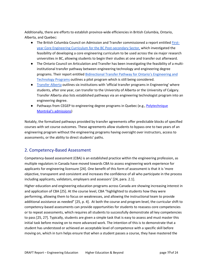Additionally, there are efforts to establish province-wide efficiencies in British Columbia, Ontario, Alberta, and Quebec:

- **•** The British Columbia Council on Admission and Transfer commissioned a report entitled **First**[year Core Engineering Curriculum for the BC Post-secondary Sector,](https://www.bccat.ca/pubs/Reports/EngCommonCore2016.pdf) which investigated the feasibility of developing a core engineering curriculum to be used across the six major research universities in BC, allowing students to begin their studies at one and transfer out afterward.
- The Ontario Council on Articulation and Transfer has been investigating the feasibility of a multiinstitutional transfer pathway between engineering technology and engineering degree programs. Their report entitled [Bidirectional Transfer Pathway for Ontario's Engineering and](https://oncat.ca/sites/default/files/media-files/oncat_project_2018-06_finalreport.pdf)  [Technology Programs](https://oncat.ca/sites/default/files/media-files/oncat_project_2018-06_finalreport.pdf) outlines a pilot program which is still being considered.
- [Transfer Alberta](http://transferalberta.alberta.ca/post-secondary-admission/engineering-programs/) outlines six institutions with 'official transfer programs in Engineering' where students, after one year, can transfer to the University of Alberta or the University of Calgary. Transfer Alberta also lists established pathways via an engineering technologist program into an engineering degree.
- Pathways from CEGEP to engineering degree programs in Quebec (e.g., Polytechnique [Montréal's admissions\)](https://www.polymtl.ca/admission/baccalaureat/conditions-dadmission-au-baccalaureat/exigences-academiques/1-etudes-au-quebec/12-dec-techniques)

Notably, the formalized pathways provided by transfer agreements offer predictable blocks of specified courses with set course outcomes. These agreements allow students to bypass one to two years of an engineering program without the engineering programs having oversight over instructors, access to assessments, or the ability to direct students' paths.

### <span id="page-14-0"></span>2. Competency-Based Assessment

Competency-based assessment (CBA) is an established practice within the engineering profession, as multiple regulators in Canada have moved towards CBA to assess engineering work experience for applicants for engineering licensure [24]. One benefit of this form of assessment is that it is 'more objective, transparent and consistent and increases the confidence of all who participate in the process including applicants, validators, employers and assessors' [24, para. 2.1].

Higher education and engineering education programs across Canada are showing increasing interest in and application of CBA [25]. At the course level, CBA "highlighted to students how they were performing, allowing them to focus on weaknesses, and allowing the instructional team to provide additional assistance as needed" [25, p. 4]. At both the course and program-level, the curricular shift to competency-based assessments can provide opportunities for students to reassess core competencies or to repeat assessments, which requires all students to successfully demonstrate all key competencies to pass [25, 27]. Typically, students are given a simple task that is easy to assess and must master this initial task before moving on to more advanced work. The intention of this is to demonstrate that a student has understood or achieved an acceptable level of competence with a specific skill before moving on, which in turn helps ensure that when a student passes a course, they have mastered the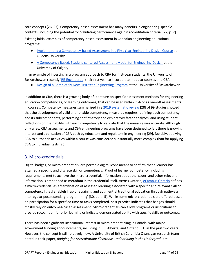core concepts [26, 27]. Competency-based assessment has many benefits in engineering-specific contexts, including the potential for 'validating performance against accreditation criteria' [27, p. 2]. Existing initial examples of competency-based assessment in Canadian engineering educational programs:

- [Implementing a Competency-based Assessment in a First Year Engineering Design Course](https://ojs.library.queensu.ca/index.php/PCEEA/article/view/14912) at Queens University
- [A Competency Based, Student-centered Assessment Model for Engineering Design](https://ojs.library.queensu.ca/index.php/PCEEA/article/view/4019) at the University of Calgary.

In an example of investing in a program approach to CBA for first-year students, the University of Saskatchewan recently ['RE-Engineered'](https://engineering.usask.ca/programs/Academic/re-engineered.php#Grading) their first year to incorporate modular courses and CBA:

● [Design of a Completely New First Year Engineering Program](https://ojs.library.queensu.ca/index.php/PCEEA/article/view/13793) at the University of Saskatchewan

In addition to CBA, there is a growing body of literature on specific assessment methods for engineering education competencies, or learning outcomes, that can be used within CBA or as one-off assessments in courses. Competency measures summarized in [a 2019 systematic review](https://www.tandfonline.com/doi/full/10.1080/03043797.2019.1671810) [28] of 99 studies showed that the development of valid and reliable competency measures requires: defining each competency and its subcomponents, performing confirmatory and exploratory factor analyses, and using student reflections on their ability with each competency to validate that the measure was accurate. Although only a few CBA assessments and CBA engineering programs have been designed so far, there is growing interest and application of CBA both by educators and regulators in engineering [29]. Notably, applying CBA to authentic activities within a course was considered substantially more complex than for applying CBA to individual tests [25].

### <span id="page-15-0"></span>3. Micro-credentials

Digital badges, or micro-credentials, are portable digital icons meant to confirm that a learner has attained a specific and discrete skill or competency. Proof of learner competency, including requirements met to achieve the micro-credential, information about the issuer, and other relevant information is embedded as metadata in the credential itself. Across Ontario[, eCampus Ontario](https://micro.ecampusontario.ca/) defines a micro-credential as a 'certification of assessed learning associated with a specific and relevant skill or competency [that] enable[s] rapid retraining and augment[s] traditional education through pathways into regular postsecondary programming' [30, para. 5]. While some micro-credentials are offered based on participation for a specified time or tasks completed, best practice indicates that badges should mostly rely on outcomes-based assessment. Micro-credentials can allow programs or institutions to provide recognition for prior learning or indicate demonstrated ability with specific skills or outcomes.

There has been significant institutional interest in micro-credentialing in Canada, with major government funding announcements, including in BC, Alberta, and Ontario [31] in the past two years. However, the concept is still relatively new. A University of British Columbia Okanagan research team noted in their paper, *Badging for Accreditation: Electronic Credentialing in the Undergraduate*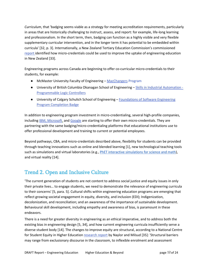*Curriculum*, that 'badging seems viable as a strategy for meeting accreditation requirements, particularly in areas that are historically challenging to instruct, assess, and report: for example, life-long learning and professionalism. In the short term, then, badging can function as a highly visible and very flexible supplementary curricular intervention, and in the longer term it has potential to be embedded within curricula' [32, p. 3]. Internationally, a New Zealand Tertiary Education Commission's commissioned [report i](https://www.voced.edu.au/content/ngv%3A79731)dentified how micro-credentials could be used to improve the uptake of engineering education in New Zealand [33].

Engineering programs across Canada are beginning to offer co-curricular micro-credentials to their students, for example:

- McMaster University Faculty of Engineering [MacChangers](https://www.eng.mcmaster.ca/co-op-career/macchangers) Program
- University of British Columbia Okanagan School of Engineering [Skills in Industrial Automation -](https://ca.badgr.com/public/badges/ggGF76bhTmKe8AOeoxfIbw) [Programmable Logic Controllers](https://ca.badgr.com/public/badges/ggGF76bhTmKe8AOeoxfIbw)
- University of Calgary Schulich School of Engineering Foundations of Software Engineering [Program Completion Badge](https://badges.ucalgary.ca/badges/191)

In addition to engineering program investment in micro-credentialing, several high-profile companies, including [IBM,](https://www.ibm.com/training/credentials) [Microsoft,](https://docs.microsoft.com/en-us/learn/certifications/) and [Google](https://grow.google/certificates/) are starting to offer their own micro-credentials. They are partnering with the same badging/micro-credentialing platforms that educational institutions use to offer professional development and training to current or potential employees.

Beyond pathways, CBA, and micro-credentials described above, flexibility for students can be provided through teaching innovations such as online and blended learning [1], new technological teaching tools such as simulations and virtual laboratories (e.g.[, PhET interactive simulations for science and math\)](https://phet.colorado.edu/), and virtual reality [14].

# <span id="page-16-0"></span>Trend 2. Open and Inclusive Culture

'The current generation of students are not content to address social justice and equity issues in only their private lives… to engage students, we need to demonstrate the relevance of engineering curricula to their concerns' [5, para. 5]. Cultural shifts within engineering education programs are emerging that reflect growing societal engagement in equity, diversity, and inclusion (EDI); Indigenization, decolonization, and reconciliation; and an awareness of the importance of sustainable development. Behavioural skill development, including empathy and awareness of bias, is paramount in these endeavors.

There is a need for greater diversity in engineering as an ethical imperative, and to address both the existing bias in engineering design [5, 34], and how current engineering curricula insufficiently serve a diverse student body [14]. The changes to improve equity are structural, according to a National Centre for Student Equity in Higher Education [research report](https://www.ncsehe.edu.au/publications/structural-inequality-retention-equity-students/) by Naylor and Milsud [35]: 'Structural barriers may range from exclusionary discourse in the classroom, to inflexible enrolment and assessment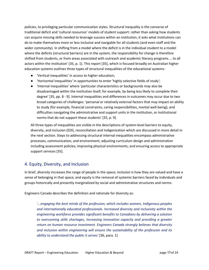policies, to privileging particular communication styles. Structural inequality is the converse of traditional deficit and 'cultural resources' models of student support: rather than asking how students can acquire missing skills needed to leverage success within an institution, it asks what institutions can do to make themselves more or less inclusive and navigable for all students (and even staff and the wider community). In shifting from a model where the deficit is in the individual student to a model where the deficits (structural barriers) are in the system, the responsibility for change is therefore shifted from students, or from areas associated with outreach and academic literacy programs … to all actors within the institution' (35, p. 1]. This report [35], which is focused broadly on Australian higher education systems outlines three types of structural inequalities of the educational systems:

- 'Vertical inequalities' in access to higher education;
- 'Horizontal inequalities' in opportunities to enter 'highly selective fields of study';
- 'Internal inequalities' where 'particular characteristics or backgrounds may also be disadvantaged within the institution itself; for example, by being less likely to complete their degree' [35, pp. 8 - 9]. Internal inequalities and differences in outcomes may occur due to two broad categories of challenges: 'personal or relatively external factors that may impact on ability to study (for example, financial constraints, caring responsibilities, mental well-being); and difficulties navigating the administrative and support units in the institution, or institutional norms that do not support these students' [35, p. 9].

All three types of inequalities are visible in the descriptions of system-level barriers to equity, diversity, and inclusion (EDI), reconciliation and Indigenization which are discussed in more detail in the next section. Steps to addressing structural internal inequalities encompass administrative processes, communication, and environment; adjusting curriculum design and administration including assessment policies; improving physical environments; and ensuring access to appropriate support services [35].

### <span id="page-17-0"></span>4. Equity, Diversity, and Inclusion

In brief, *diversity* increases the range of people in the space; *inclusion* is how they are valued and have a sense of belonging in that space; and *equity* is the removal of systemic barriers faced by individuals and groups historically and presently marginalized by social and administrative structures and norms.

Engineers Canada describes the definition and rationale for diversity as:

*'...engaging the best minds of the profession, which includes women, Indigenous peoples and internationally educated professionals. Increased diversity and inclusivity within the engineering workforce provides significant benefits to Canadians by delivering a solution to overcoming skills shortages, increasing innovation capacity and providing a greater return on human resource investment. Engineers Canada strongly believes that diversity and inclusion within engineering will ensure the sustainability of the profession and its ability to understand the public it serves'* [36, para. 1]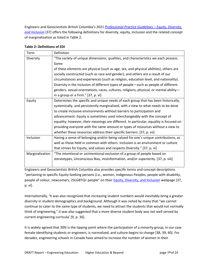Engineers and Geoscientists British Columbia's 2021 *[Professional Practice Guidelines –](https://www.egbc.ca/app/Practice-Resources/Individual-Practice/Guidelines-Advisories/Document/01525AMWZOGZM5ITT65REIGLMV7WZTFXG6/Equity%2C%20Diversity%2C%20and%20Inclusion) Equity, Diversity, [and Inclusion](https://www.egbc.ca/app/Practice-Resources/Individual-Practice/Guidelines-Advisories/Document/01525AMWZOGZM5ITT65REIGLMV7WZTFXG6/Equity%2C%20Diversity%2C%20and%20Inclusion)* [37] offers the following definitions for diversity, equity, inclusion and the related concept of marginalization as listed in Table 2.

| Term            | Definition                                                                             |
|-----------------|----------------------------------------------------------------------------------------|
| Diversity       | "The variety of unique dimensions, qualities, and characteristics we each possess.     |
|                 | Some                                                                                   |
|                 | of these elements are physical (such as age, sex, and physical abilities), others are  |
|                 | socially constructed (such as race and gender), and others are a result of our         |
|                 | circumstances and experiences (such as religion, education level, and nationality).    |
|                 | Diversity is the inclusion of different types of people-such as people of different    |
|                 | genders, sexual orientations, races, cultures, religions, physical, or mental ability- |
|                 | in a group or a Firm." [37, p. vi]                                                     |
| Equity          | Determines the specific and unique needs of each group that has been historically,     |
|                 | systemically, and persistently marginalized, with a view to what needs to be done      |
|                 | to create inclusive environments without barriers to participation and                 |
|                 | advancement. Equity is sometimes used interchangeably with the concept of              |
|                 | equality; however, their meanings are different. In particular, equality is focused on |
|                 | providing everyone with the same amount or types of resources without a view to        |
|                 | whether these resources address their specific barriers. [37, p. vii]                  |
| Inclusion       | Having a sense of belonging and/or being valued for one's unique contributions, as     |
|                 | well as those held in common with others. Inclusion is an environment or culture       |
|                 | that strives for Equity, and values and respects Diversity." [37, p. vi]               |
| Marginalization | "The intentional or unintentional exclusion of a group of people based on              |
|                 | stereotypes, Unconscious Bias, misinformation, and/or superiority. [37, p. viii]       |
|                 |                                                                                        |

#### <span id="page-18-0"></span>**Table 2: Definitions of EDI**

Engineers and Geoscientists British Columbia also provides specific terms and concept descriptions "pertaining to specific Equity-Seeking persons (i.e., women, Indigenous Peoples, people with disability, people of colour, newcomers, 2SLGBTQ+ people" on their **Equity, Diversity, and Inclusion** webpage [37, p. vi].

Internationally, 'It was also recognized that increasing student numbers would inevitably bring a greater diversity in student demographics and background. Although it was noted by many that "we cannot continue to cater to the same type of students, we need to attract the students that would not normally think of engineering," it was also suggested that a more diverse student body was not well served by current engineering curricula' [9, p. 36].

It is widely agreed that 30% is the tipping point where the participation of a minority group, in our case female-identifying students or engineers, is normalized, and culture begins to change [38, 39, 40]. For decades, engineering schools in Canada have aimed to increase the number of women in their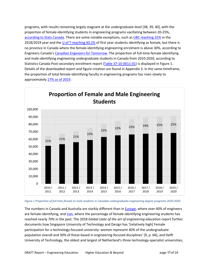programs, with results remaining largely stagnant at the undergraduate level [38, 39, 40], with the proportion of female-identifying students in engineering programs vacillating between 20-25%, [according to Stats Canada.](https://www150.statcan.gc.ca/t1/tbl1/en/tv.action?pid=3710001101) There are some notable exceptions, such a[s UBC reaching 32%](https://www.ubyssey.ca/news/engineering-female-enrolment-makes-progress-but-falls-short-of-goal/) in the 2018/2019 year and the  $\underline{U}$  of T reaching 40.2% of first year students identifying as female, but there is no province in Canada where the female-identifying engineering enrolment is above 30%, according to Engineers Canada's [Canadian Engineers for Tomorrow.](https://engineerscanada.ca/reports/canadian-engineers-for-tomorrow-2020#femaleidentified-undergraduate-enrolment-by-province) The proportion of full-time female-identifying and male-identifying engineering undergraduate students in Canada from 2010-2020, according to Statistics Canada Post-secondary enrolment report [\(Table 37-10-0011-01\)](https://www150.statcan.gc.ca/t1/tbl1/en/tv.action?pid=3710001101) is displayed in Figure 1. Details of the downloaded report and figure creation are found in Appendix 3. In the same timeframe, the proportion of total female-identifying faculty in engineering programs has risen slowly to approximately [17% as of 2019.](https://engineerscanada.ca/reports/canadian-engineers-for-tomorrow-2019#faculty-members)



*Figure 1 Proportion of full-time female to male students in Canadian undergraduate engineering degree programs 2010-2020*

The numbers in Canada and Australia are starkly different than in [Europe,](https://ec.europa.eu/eurostat/web/products-eurostat-news/-/edn-20220211-2#:%7E:text=In%202020%2C%20there%20were%20almost,employment%20in%20science%20and%20engineering.) where over 40% of engineers are female-identifying, an[d Iran,](https://www.forbes.com/sites/amyguttman/2015/12/09/set-to-take-over-tech-70-of-irans-science-and-engineering-students-are-women/?sh=6738cace44de) where the percentage of female-identifying engineering students has reached nearly 70% in the past. The 2018 *Global state of the art of engineering education* report further documents how Singapore University of Technology and Design has '[relatively high] Female participation for a technology-focused university: women represent 40% of the undergraduate population overall and 30% of those based in engineering-focused disciplines' [9, p. 66], and Delft University of Technology, the oldest and largest of Netherland's three technology-specialist universities,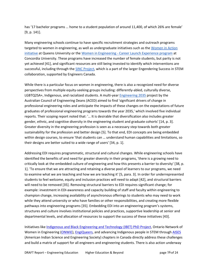has '17 bachelor programs … home to a student population of around 11,400, of which 26% are female' [9, p. 141].

Many engineering schools continue to have specific recruitment strategies and outreach programs targeted to women in engineering, as well as undergraduate initiatives such as th[e Women in Action](https://engineering.queensu.ca/women-in-engineering/women-in-action.html)  [initiative](https://engineering.queensu.ca/women-in-engineering/women-in-action.html) at Queens University or the Women in Engineering - [Career Launch Experience program](https://www.concordia.ca/academics/co-op/programs/women-in-engineering-career-launch-experience.html) at Concordia University. These programs have increased the number of female students, but parity is not yet achieved [41], and significant resources are still being invested to identify which interventions are successful, including through the [SINC Project,](https://successinstem.ca/projects/sinc/) which is a part of the larger Engendering Success in STEM collaboration, supported by Engineers Canada.

While there is a particular focus on women in engineering, there is also a recognized need for diverse perspectives from multiple equity-seeking groups including: differently-abled, culturally diverse, LGBTQ2SA+, Indigenous, and racialized students. A multi-year [Engineering 2035](https://aced.edu.au/index.php/examples) project by the Australian Council of Engineering Deans (ACED) aimed to find 'significant drivers of change in professional engineering roles and anticipate the impacts of these changes on the expectations of future graduates of professional engineering programs towards the year 2035,' which involved five individua[l](http://www.aced.edu.au/index.php/examples) [reports.](http://www.aced.edu.au/index.php/examples) Their scoping report noted that: '… It is desirable that diversification also includes greater gender, ethnic, and cognitive diversity in the engineering student and graduate cohorts' [14, p. 3]. Greater diversity in the engineering profession is seen as a necessary step towards both greater sustainability for the profession and better design [5]. To that end, EDI concepts are being embedded within design courses, to ensure 'that students can … understand human capabilities and limitations, so their designs are better suited to a wide range of users' [34, p. 1].

Addressing EDI requires programmatic, structural and cultural changes. While engineering schools have identified the benefits of and need for greater diversity in their programs, 'there is a growing need to critically look at the embedded culture of engineering and how this presents a barrier to diversity' [38, p. 1]. 'To ensure that we are attracting and retaining a diverse pool of learners to our programs, we need to examine what we are teaching and how we are teaching it' [5, para. 3]. In order for underrepresented students to feel welcome, equity and inclusion practices will need to adapt [42], and structural barriers will need to be removed [35]. Removing structural barriers to EDI requires significant change; for example: investment in EDI-awareness and capacity building of staff and faculty within engineering to champion change, increasing availability of asynchronous offerings to students who may need to work while they attend university or who have families or other responsibilities, and creating more flexible pathways into engineering programs [35]. Embedding EDI into an engineering program's systems, structures and culture involves institutional policies and practices, supportive leadership at senior and departmental levels, and allocation of resources to support the success of these initiatives [43].

Initiatives like [Indigenous and Black Engineering and Technology \(IBET\) PhD Project,](https://ibetphd.ca/) Ontario Network of Women in Engineering [\(ONWiE\)](https://www.onwie.ca/), [EngiQueers,](https://www.engiqueers.ca/) and advancing Indigenous people in STEM through [AISES](https://www.aises.org/membership/caises) (American Indian Science and Engineering Society) chapters in Canada directly address these challenges and build a matrix of support for all engineers and engineering students. There is also action underway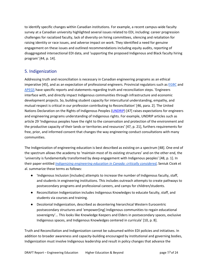to identify specific changes within Canadian institutions. For example, a recent campus-wide faculty survey at a Canadian university highlighted several issues related to EDI, including: career progression challenges for racialized faculty, lack of diversity on hiring committees, silencing and retaliation for raising identity or race issues, and adverse impact on work. They identified a need for genuine engagement on these issues and outlined recommendations including equity audits, reporting of disaggregated intersectional EDI data, and 'supporting the proposed Indigenous and Black faculty hiring program' [44, p. 14].

### <span id="page-21-0"></span>5. Indigenization

Addressing truth and reconciliation is necessary in Canadian engineering programs as an ethical imperative [45], and as an expectation of professional engineers. Provincial regulators such a[s EGBC](https://www.egbc.ca/About/Programs-Initiatives/Equity-Diversity-and-Inclusion/Truth-Reconciliation) and [APEGS](https://www.apegs.ca/truth-and-reconciliation) have specific reports and statements regarding truth and reconciliation steps. 'Engineers interface with, and directly impact Indigenous communities through infrastructure and economic development projects. So, building student capacity for intercultural understanding, empathy, and mutual respect is critical in our profession contributing to Reconciliation' [46, para. 2]. The United Nations Declaration on the Rights of Indigenous Peoples [\(UNDRIP\)](https://www.un.org/development/desa/indigenouspeoples/declaration-on-the-rights-of-indigenous-peoples.html) [47] raises expectations for engineers and engineering programs understanding of Indigenous rights. For example, UNDRIP articles such as article 29 'Indigenous peoples have the right to the conservation and protection of the environment and the productive capacity of their lands or territories and resources' [47, p. 21], furthers requirements for free, prior, and informed consent that changes the way engineering conduct consultations with many communities.

The Indigenization of engineering education is best described as existing on a spectrum [48]. One end of the spectrum allows the academy to 'maintain most of its existing structures' and on the other end, the 'university is fundamentally transformed by deep engagement with Indigenous peoples' [48, p. 1]. In their paper entitled *[Indigenizing engineering education in Canada: critically considered](https://www.tandfonline.com/doi/full/10.1080/13562517.2021.1935847)*, Seniuk Cicek et al. summarize these terms as follows:

- 'Indigenous Inclusion [includes] attempts to increase the number of Indigenous faculty, staff, and students in engineering institutions. This includes outreach attempts to create pathways to postsecondary programs and professional careers, and camps for children/students.
- Reconciliation Indigenization includes Indigenous Knowledges to educate faculty, staff, and students via courses and training.
- Decolonial Indigenization, described as decentering hierarchical Western Eurocentric postsecondary structures and 'empower[ing] Indigenous communities to regain educational sovereignty'… This looks like Knowledge Keepers and Elders in postsecondary spaces, exclusive Indigenous spaces, and Indigenous Knowledges centered in curricula' [10, p. 8].

Truth and Reconciliation and Indigenization cannot be subsumed within EDI policies and initiatives. In addition to broader awareness and capacity-building encouraged by institutional and governing bodies, Indigenization must involve Indigenous leadership and result in policy changes that advance the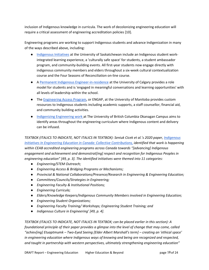inclusion of Indigenous knowledge in curricula. The work of decolonizing engineering education will require a critical assessment of engineering accreditation policies [10].

Engineering programs are working to support Indigenous students and advance Indigenization in many of the ways described above, including:

- [Indigenous Initiatives](https://engineering.usask.ca/indigenous.php#Studyhere) at the University of Saskatchewan include an Indigenous student workintegrated learning experience, a 'culturally safe space' for students, a student ambassador program, and community-building events. All first-year students now engage directly with indigenous community members and elders throughout a six-week cultural contextualization course and the Four Seasons of Reconciliation on-line course.
- [A Permanent Indigenous Engineer-in-residence](https://www.ucalgary.ca/news/indigenous-engineer-residence-brings-fresh-voice-and-ideas-faculty) at the University of Calgary provides a role model for students and is 'engaged in meaningful conversations and learning opportunities' with all levels of leadership within the school.
- The [Engineering Access Program,](https://umanitoba.ca/engineering/engineering-access-program) or ENGAP, at the University of Manitoba provides custom resources to Indigenous students including academic supports, a staff counsellor, financial aid, and community building activities.
- [Indigenizing Engineering work a](https://engineering.ok.ubc.ca/2020/10/29/indigenizing-of-engineering/)t The University of British Columbia Okanagan Campus aims to identify areas throughout the engineering curriculum where Indigenous content and delivery can be infused.

*TEXTBOX (ITALICS TO INDICATE, NOT ITALICS IN TEXTBOX): Seniuk Cicek et al.'s 2020 paper, [Indigenous](https://ojs.library.queensu.ca/index.php/PCEEA/article/view/14162)  [Initiatives In Engineering Education in Canada: Collective Contributions,](https://ojs.library.queensu.ca/index.php/PCEEA/article/view/14162) [identified](https://ojs.library.queensu.ca/index.php/PCEEA/article/view/14162) that work is happening within CEAB accredited engineering programs across Canada towards "[advancing] Indigenous engagement and achievement and demonstrat[ing] respect and recognition for Indigenous Peoples in engineering education" [49, p. 3]. The identified initiatives were themed into 11 categories:* 

- *Engineering/STEM Outreach;*
- *Engineering Access & Bridging Programs or Mechanisms;*
- *Provincial & National Collaborations/Presence/Research in Engineering & Engineering Education;*
- *Committees/Councils/Strategies in Engineering;*
- *Engineering Faculty & Institutional Positions;*
- *Engineering Curricula;*
- *Elders/Knowledge Keepers/Indigenous Community Members involved in Engineering Education;*
- *Engineering Student Organizations;*
- *Engineering Faculty Training/ Workshops; Engineering Student Training; and*
- *Indigenous Culture in Engineering' [49, p. 4].*

*TEXTBOX (ITALICS TO INDICATE, NOT ITALICS IN TEXTBOX; can be placed earlier in this section): A foundational principle of their paper provides a glimpse into the level of change that may come, called "achiev[ing] Etuaptmumk – Two-Eyed Seeing [Elder Albert Marshall's term] – creating an 'ethical space' in engineering education where Indigenous ways of knowing and being are recognized and respected, and taught in partnership with western perspectives, ultimately strengthening engineering education"*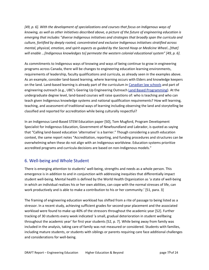*[49, p. 6]. With the development of specializations and courses that focus on Indigenous ways of knowing, as well as other initiatives described above, a picture of the future of engineering education is emerging that includes "diverse Indigenous initiatives and strategies that broadly span the curricula and culture, fortified by deeply rooted, concentrated and exclusive Indigenous initiatives stratified across mental, physical, emotion, and spirit aspects as guided by the Sacred Hoop or Medicine Wheel…[that] will enable …[Indigenous knowledges to] permeate the western colonial educational system" [49, p. 6].*

As commitments to Indigenous ways of knowing and ways of being continue to grow in engineering programs across Canada, there will be changes to engineering education learning environments, requirements of leadership, faculty qualifications and curricula, as already seen in the examples above. As an example, consider land-based learning, where learning occurs with Elders and knowledge keepers on the land. Land-based learning is already part of the curriculum in [Canadian law schools](https://wyaj.uwindsor.ca/index.php/wyaj/article/view/4807) and part of engineering outreach (e.g., UBC's Geering Up Engineering Outreach [Land Based Programming\)](https://geeringup.apsc.ubc.ca/community-outreach/programming/land-based-programming/). At the undergraduate degree level, land-based courses will raise questions of: who is teaching and who can teach given Indigenous knowledge systems and national qualification requirements? How will learning, teaching, and assessment of traditional ways of learning including observing the land and storytelling be classified and reported for accreditation while being culturally respectful?

In an Indigenous Land-Based STEM Education paper [50], Tom Mugford, Program Development Specialist for Indigenous Education, Government of Newfoundland and Labrador, is quoted as saying that "Calling land-based education 'alternative' is a barrier." Though considering a youth education context, the same report notes "Accreditation, reporting, and funding procedures and structures can be overwhelming when these do not align with an Indigenous worldview. Education systems prioritize accredited programs and curricula decisions are based on non-Indigenous models."

### <span id="page-23-0"></span>6. Well-being and Whole Student

There is emerging attention to students' well-being, strengths and needs as a whole person. This emergence is in addition to and in conjunction with addressing inequities that differentially impact student well-being. Mental health is defined by the World Health Organization as 'a state of well-being in which an individual realizes his or her own abilities, can cope with the normal stresses of life, can work productively and is able to make a contribution to his or her community.' [51, para. 3]

The framing of engineering education workload has shifted from a rite of passage to being listed as a stressor. In a recent study, achieving sufficient grades for second-year placement and the associated workload were found to make up 40% of the stressors throughout the academic year [52]. Further tracking of 30 students every week indicated 'a small, gradual deterioration in student wellbeing throughout the academic year' for first year students [52, p. 7]. While being away from family was included in the analysis, taking care of family was not measured or considered. Students with families, including mature students, or students with siblings or parents requiring care face additional challenges and considerations for well-being.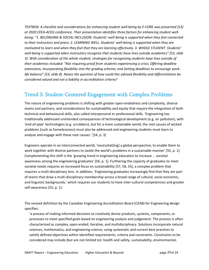*TEXTBOX: A checklist and considerations for enhancing student well-being by E-CORE was presented [53] at 2020 CEEA-ACEG conference. Their presentation identifies three factors for enhancing student wellbeing: "1. BELONGING & SOCIAL INCLUSION: Students' well-being is supported when they feel connected to their instructors and peers; 2. LEARNING WELL: Students' well-being is supported when they are motivated to learn and when they feel that they are learning effectively. 3. WHOLE STUDENT: Students' well-being is supported when instructors recognize that students have lives outside academics" [53, slide 3]. With consideration of the whole student, strategies for recognizing students have lives outside of their academics included: "Not requiring proof from students experiencing a crisis; Offering deadline extensions; Incorporating flexibility into the grading scheme; and Setting deadlines to encourage worklife balance" [53, slide 8]. Raises the question of how could this advised flexibility and differentiation be considered valued and not a liability in accreditation criteria?* 

# <span id="page-24-0"></span>Trend 3. Student-Centered Engagement with Complex Problems

The nature of engineering problems is shifting with greater open-endedness and complexity, diverse teams and partners, and considerations for sustainability and equity that require the integration of both technical and behavioural skills, also called interpersonal or professional skills. 'Engineering has traditionally addressed unintended consequences of technological development (e.g. air pollution), with 'end-of-pipe' technologies (e.g. scrubbers), but for a more sustainable world, the root causes of wicked problems [such as homelessness] must also be addressed and engineering students must learn to analyze and engage with these root causes.' [54, p. 3]

Engineers operate in an interconnected world, 'necessitat[ing] a global perspective, to enable them to work together with diverse partners to tackle the world's problems in a sustainable manner' [55, p. 1]. Complementing this shift is the 'growing trend in engineering education to increase … societal awareness among the engineering graduates' [56, p. 1]. Furthering the capacity of graduates to meet societal needs requires an increased focus on sustainability [57, 58, 55], a complex problem that requires a multi-disciplinary lens. In addition, 'Engineering graduates increasingly find that they are part of teams that draw a multi-disciplinary membership across a broad range of cultural, socio-economic, and linguistic backgrounds,' which requires our students to have inter-cultural competencies and greater self-awareness [55, p. 1].

The revised definition by the Canadian Engineering Accreditation Board (CEAB) for Engineering design specifies:

'a process of making informed decisions to creatively devise products, systems, components, or processes to meet specified goals based on engineering analysis and judgement. The process is often characterized as complex, open-ended, iterative, and multidisciplinary. Solutions incorporate natural sciences, mathematics, and engineering science, using systematic and current best practices to satisfy defined objectives within identified requirements, criteria and constraints. Constraints to be considered may include (but are not limited to): health and safety, sustainability, environmental,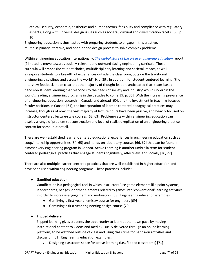ethical, security, economic, aesthetics and human factors, feasibility and compliance with regulatory aspects, along with universal design issues such as societal, cultural and diversification facets' [59, p. 10].

Engineering education is thus tasked with preparing students to engage in this creative, multidisciplinary, iterative, and open-ended design process to solve complex problems.

Within engineering education internationally, *[The global state of the art in engineering education](https://jwel.mit.edu/sites/mit-jwel/files/assets/files/neet_global_state_of_eng_edu_180330.pdf)* report [9] noted 'a move towards socially-relevant and outward-facing engineering curricula. These curricula will emphasize student choice, multidisciplinary learning and societal impact, as well as expose students to a breadth of experiences outside the classroom, outside the traditional engineering disciplines and across the world' [9, p. 39]. In addition, for student-centered learning, 'the interview feedback made clear that the majority of thought leaders anticipated that 'team-based, hands-on student learning that responds to the needs of society and industry' would underpin the world's leading engineering programs in the decades to come' [9, p. 35]. With the increasing prevalence of engineering education research in Canada and abroad [60], and the investment in teaching-focused faculty positions in Canada [61], the incorporation of learner-centered pedagogical practices may increase, though as of now, the vast majority of lecture hours have been passive, and heavily focused on instructor-centered lecture-style courses [62, 63]. Problem-sets within engineering education can display a range of problem set construction and level of realistic replication of an engineering practice context for some, but not all.

There are well-established learner-centered educational experiences in engineering education such as coop/internship opportunities [64, 65] and hands-on laboratory courses [66, 67] that can be found in almost every engineering program in Canada. Active Learning is another umbrella term for studentcentered pedagogical practices that engage students cognitively, affectively, and socially [26, 27].

There are also multiple learner-centered practices that are well established in higher education and have been used within engineering programs. These practices include:

#### ● **Gamified education**

Gamification is a pedagogical tool in which instructors 'use game elements like point systems, leaderboards, badges, or other elements related to games into 'conventional' learning activities in order to increase engagement and motivation' [68]. Engineering education examples*:* 

- Gamifying a first-year chemistry course for engineers [69]
- Gamifying a first-year engineering design course [70]

#### ● **Flipped delivery**

Flipped learning gives students the opportunity to learn at their own pace by moving instructional content to videos and media (usually delivered through an online learning platform) to be watched outside of class and using class time for hands-on activities and discussion [61]. Engineering education examples:

• Designing classroom space for active learning (i.e., flipped classrooms) [71]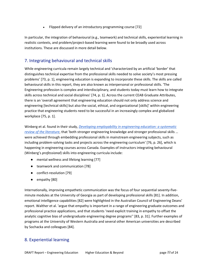• Flipped delivery of an introductory programming course [72]

In particular, the integration of behavioural (e.g., teamwork) and technical skills, experiential learning in realistic contexts, and problem/project-based learning were found to be broadly used across institutions. These are discussed in more detail below.

## <span id="page-26-0"></span>7. Integrating behavioural and technical skills

While engineering curricula remain largely technical and 'characterized by an artificial 'border' that distinguishes technical expertise from the professional skills needed to solve society's most pressing problems' [73, p. 1], engineering education is expanding to incorporate these skills. The skills are called behavioural skills in this report, they are also known as interpersonal or professional skills. 'The Engineering profession is complex and interdisciplinary, and students today must learn how to integrate skills across technical and social disciplines' [74, p. 1]. Across the current CEAB Graduate Attributes, there is an 'overall agreement that engineering education should not only address science and engineering [technical skills] but also the social, ethical, and organizational [skills]' within engineering practice that engineering students need to be successful in an increasingly complex and globalized workplace [75, p. 1].

Winberg et al. found in their study, *[Developing employability in engineering education: a systematic](https://www.tandfonline.com/doi/full/10.1080/03043797.2018.1534086)  [review of the literature](https://www.tandfonline.com/doi/full/10.1080/03043797.2018.1534086)*, that 'both stronger engineering knowledge and stronger professional skills … were achieved through embedding professional skills in mainstream engineering subjects, such as including problem-solving tasks and projects across the engineering curriculum' [76, p. 26], which is happening in engineering courses across Canada. Examples of instructors integrating behavioural (Winberg's *professional*) skills into engineering curricula include:

- mental wellness and lifelong learning [77]
- teamwork and communication [78]
- conflict-resolution [79]
- empathy [80]

Internationally, improving empathetic communication was the focus of four sequential seventy-fiveminute modules at the University of Georgia as part of developing professional skills [81]. In addition, emotional intelligence capabilities [82] were highlighted in the Australian Council of Engineering Deans' report. Walther et al. 'argue that empathy is important in a range of engineering graduate outcomes and professional practice applications, and that students 'need explicit training in empathy to offset the analytic cognitive bias of undergraduate engineering degree programs'' [83, p. 31]. Further examples of programs at the University of Western Australia and several other American universities are described by Sochacka and colleagues [84].

### <span id="page-26-1"></span>8. Experiential learning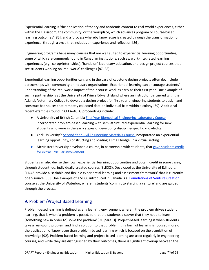Experiential learning is 'the application of theory and academic content to real-world experiences, either within the classroom, the community, or the workplace, which advances program or course-based learning outcomes' [85], and a 'process whereby knowledge is created through the transformation of experience' through a cycle that includes an experience and reflection [86].

Engineering programs have many courses that are well suited to experiential learning opportunities, some of which are commonly found in Canadian institutions, such as: work-integrated learning experiences (e.g., co-op/internships), 'hands-on' laboratory education, and design project courses that see students working on 'real-world' challenges [87, 88].

Experiential learning opportunities can, and in the case of capstone design projects often do, include partnerships with community or industry organizations. Experiential learning can encourage students' understanding of the real-world impact of their course-work as early as their first year. One example of such a partnership is at the University of Prince Edward Island where an instructor partnered with the Atlantic Veterinary College to develop a design project for first-year engineering students to design and construct bat houses that remotely collected data on individual bats within a colony [89]. Additional recent examples found in CEEA-ACEG proceedings include:

- A University of British Columbi[a First Year Biomedical Engineering Laboratory Course](https://ojs.library.queensu.ca/index.php/PCEEA/article/view/14132) incorporated problem-based learning with semi-structured experiential learning for new students who were in the early stages of developing discipline-specific knowledge.
- York University's [Second Year Civil Engineering Materials Course](https://ojs.library.queensu.ca/index.php/PCEEA/article/view/14898) incorporated an experiential learning opportunity, constructing and loading a small bridge, in a virtual setting.
- McMaster University developed a course, in partnership with students, that gave students credit [for extracurricular](https://ojs.library.queensu.ca/index.php/PCEEA/article/view/14151) [involvement.](https://ojs.library.queensu.ca/index.php/PCEEA/article/view/14151)

Students can also devise their own experiential learning opportunities and obtain credit in some cases, through student-led, individually-created courses (SLICCS). Developed at the University of Edinburgh, SLICCS provide a 'scalable and flexible experiential learning and assessment framework' that is currently open-source [90]. One example of a SLICC introduced in Canada is a ['Foundations of Venture Creation'](about:blank) course at the University of Waterloo, wherein students 'commit to starting a venture' and are guided through the process.

### <span id="page-27-0"></span>9. Problem/Project Based Learning

Problem-based learning is defined as any learning environment wherein the problem drives student learning, that is when 'a problem is posed, so that the students discover that they need to learn [something new in order to] solve the problem' [91, para. 3]. Project-based learning is when students take a real-world problem and find a solution to that problem; this form of learning is focused more on the application of knowledge than problem-based learning which is focused on the acquisition of knowledge [92]. Problem-based learning and project-based learning are used regularly in engineering courses, and while they are distinguished by their outcomes, there is significant overlap between the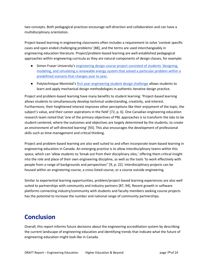two concepts. Both pedagogical practices encourage self-direction and collaboration and can have a multidisciplinary orientation.

Project-based learning in engineering classrooms often includes a requirement to solve 'context specific cases and open ended challenging problems' [88], and the terms are used interchangeably in engineering education literature. Project/problem-based learning are well-established pedagogical approaches within engineering curricula as they are natural components of design classes, for example:

- Simon Fraser University's [engineering design course project](https://ojs.library.queensu.ca/index.php/PCEEA/article/view/14897) consisted of students 'designing, modeling, and simulating a renewable energy system that solved a particular problem within a predefined scenario that changes year to year.
- Polytechnique Montréal's [first year engineering student design challenge](https://ojs.library.queensu.ca/index.php/PCEEA/article/view/14863) allows students to learn and apply mechanical design methodologies in authentic iterative design practice.

Project and problem-based learning have many benefits to student learning: 'Project-based learning allows students to simultaneously develop technical understanding, creativity, and interest. Furthermore, their heightened interest improves other perceptions like their enjoyment of the topic, the subject's value, and their career aspirations in the field' [72, p. 6]. One Canadian engineering education research team noted that 'one of the primary objectives of PBL approaches is to transform the labs to be student-centered, where the outcomes and objectives are largely determined by the students, to create an environment of self-directed learning' [93]. This also encourages the development of professional skills such as time-management and critical thinking.

Project and problem-based learning are also well suited to and often incorporate team-based learning in engineering education in Canada. An emerging practice is to allow interdisciplinary teams within this space, which can 'allow students to 'break out from their disciplinary silos,' offering them critical insight into the role and place of their own engineering discipline, as well as the tools 'to work effectively with people from a range of backgrounds and perspectives'' [9, p. 22]. Interdisciplinary projects can be housed within an engineering course, a cross-listed course, or a course outside engineering.

Similar to experiential learning opportunities, problem/project-based learning experiences are also well suited to partnerships with community and industry partners [87, 94]. Recent growth in software platforms connecting industry/community with students and faculty members seeking course projects has the potential to increase the number and national range of community partnerships.

# <span id="page-28-0"></span>**Conclusion**

Overall, this report informs future decisions about the engineering accreditation system by describing the current landscape of engineering education and identifying trends that indicate what the future of engineering education might look like in Canada.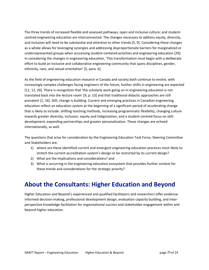The three trends of increased flexible and assessed pathways; open and inclusive culture; and studentcentred engineering education are interconnected. The changes necessary to address equity, diversity, and inclusion will need to be substantial and attentive to other trends [5, 9]. Considering these changes as a whole allows for leveraging synergies and addressing disproportionate barriers for marginalized or underrepresented groups when acccessing student-centered activities and engineering education [29]. In considering the changes in engineering education, 'This transformation must begin with a deliberate effort to build an inclusive and collaborative engineering community that spans disciplines, gender, ethnicity, race, and sexual orientation' [5, para. 6].

As the field of engineering education research in Canada and society both continue to evolve, with increasingly complex challenges facing engineers of the future, further shifts in engineering are expected [11, 12, 20]. There is recognition that 'the scholarly work going on in engineering education is not translated back into the lecture room' [9, p. 13] and that traditional didactic approaches are still prevalent [1, 16]. Still, change is building. Current and emerging practices in Canadian engineering education reflect an education system at the beginning of a significant period of accelerating change that is likely to include: shifting teaching methods, increasing programmatic flexibility, changing culture towards greater diversity, inclusion, equity and Indignization, and a student-centred focus on skilldevelopment, expanding partnerships and greater personalization. These changes are echoed internationally, as well.

The questions that arise for consideration by the Engineering Education Task Force, Steering Committee and Stakeholders are:

- 1) where are these identified current and emergent engineering education practices most likely to stretch the current accreditation system's design or be restricted by its current design?
- 2) What are the implications and considerations? and
- 3) What is occurring in the engineering education ecosystem that provides further context for these trends and considerations for the strategic priority?

# <span id="page-29-0"></span>**About the Consultants: Higher Education and Beyond**

Higher Education and Beyond's experienced and qualified facilitators and researchers offer evidenceinformed decision-making, professional development design, evaluation capacity building, and interperspective knowledge facilitation for organizational success and stakeholder engagement within and beyond higher education.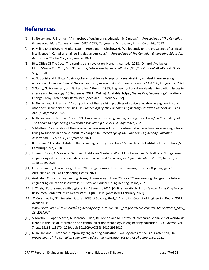# <span id="page-30-0"></span>**References**

- [1] N. Nelson and R. Brennan, "A snapshot of engineering education in Canada," In *Proceedings of The Canadian Engineering Education Association (CEEA-ACEG) Conference*, Vancouver, British Columbia, 2018.
- [2] P. Milind Khanolkar, M. Gad, J. Liao, A. Hurst and A. Olechowski, "A pilot study on the prevalence of artificial intelligence in Canadian engineering design curricula," In *Proceedings of The Canadian Engineering Education Association (CEEA-ACEG) Conference,* 2021.
- [3] Rbc, Office Of The Ceo, "The coming skills revolution: Humans wanted," 2018. [Online]. Available: Https://Www.Rbc.Com/Dms/Enterprise/Futurelaunch/\_Assets-Custom/Pdf/Rbc-Future-Skills-Report-Final-Singles.Pdf.
- [4] A. Ndubuisi and J. Slotta, "Using global virtual teams to support a sustainability mindset in engineering education," In *Proceedings of The Canadian Engineering Education Association (CEEA-ACEG) Conference*, 2021.
- [5] S. Sorby, N. Fortenberry and G. Bertoline, "Stuck in 1955, Engineering Education Needs a Revolution, Issues in science and technology, 13 September 2021. [Online]. Available: https://Issues.Org/Engineering-Education-Change-Sorby-Fortenberry-Bertoline/. [Accessed 1 February 2022].
- [6] N. Nelson and R. Brennan, "A comparison of the teaching practices of novice educators in engineering and other post-secondary disciplines," In *Proceedings of The Canadian Engineering Education Association (CEEA-ACEG) Conference*, 2020.
- [7] N. Nelson and R. Brennan, "Covid-19: A motivator for change in engineering education?," In *Proceedings of The Canadian Engineering Education Association (CEEA-ACEG) Conference*, 2021.
- [8] S. Mattucci, "a snapshot of the Canadian engineering education system: reflections from an emerging scholar trying to support national curriculum change," In *Proceedings of The Canadian Engineering Education Association (CEEA-ACEG) Conference*, 2021.
- [9] R. Graham, "The global state of the art in engineering education," Massachusetts Institute of Technology (Mit), Cambridge, Ma, 2018.
- [10] J. Seniuk Cicek, A. Steele, S. Gauthier, A. Adobea Mante, P. Wolf, M. Robinson and S. Mattucci, "Indigenizing engineering education in Canada: critically considered," *Teaching in Higher Education,* Vol. 26, No. 7-8, pp. 1038-1059, 2021.
- [11] C. Crosthwaite, "Engineering futures 2035 engineering education programs, priorities & pedagogies," Australian Council Of Engineering Deans, 2021.
- [12] Australian Council of Engineering Deans, "Engineering futures 2035 2021 engineering change The future of engineering education in Australia," Australian Council Of Engineering Deans, 2021.
- [13] J. O'heir, "Future ready with digital skills," 9 August 2021. [Online]. Available: Https://www.Asme.Org/Topics-Resources/Content/Future-Ready-With-Digital-Skills. [Accessed 1 February 2022].
- [14] C. Crosthwaite, "Engineering Futures 2035: A Scoping Study," Australian Council of Engineering Deans, 2019. Available At: *[Www.Aced.Edu.Au/Downloads/Engineering%20futures%202035\\_Stage%201%20report%20for%20aced\\_May\\_](http://www.aced.edu.au/downloads/Engineering%20Futures%202035_Stage%201%20report%20for%20ACED_May_16_2019.pdf) [16\\_2019.Pdf](http://www.aced.edu.au/downloads/Engineering%20Futures%202035_Stage%201%20report%20for%20ACED_May_16_2019.pdf)*
- [15] S. Martin, E. Lopez-Martin, A. Moreno-Pulido, Ru. Meier, and M. Castro, "A comparative analysis of worldwide trends in the use of information and communications technology in engineering education," *IEEE Access*, vol. 7, pp.113161-113170 , 2019. doi: 10.1109/ACCESS.2019.2935019
- [16] N. Nelson and R. Brennan, "Improving engineering education: Two key areas to focus our attention," In *Proceedings of The Canadian Engineering Education Association (CEEA-ACEG) Conference*, 2021.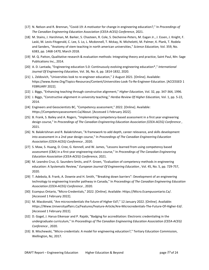- [17] N. Nelson and R. Brennan, "Covid-19: A motivator for change in engineering education?," In *Proceedings of The Canadian Engineering Education Association (CEEA-ACEG) Conference*, 2021.
- [18] M. Stains, J. Harshman, M. Barker, S. Chasteen, R. Cole, S. Dechenne-Peters, M. Eagan Jr., J. Essen, J. Knight, F. Laski, M. Levis-Fitzgerald, C. Lee, S. Lo, L. Mcdonnell, T. Mckay, N. Michelotti, M. Palmer, K. Plank, T. Rodela and Sanders, "Anatomy of stem teaching in north american universities," *Science Education,* Vol. 359, No. 6383, pp. 1468-1470, March 2018.
- [19] M. Q. Patton, Qualitative research & evaluation methods: Integrating theory and practice, Saint Paul, Mn: Sage Publications Inc., 2014.
- [20] A. D. Lantada, "Engineering education 5.0: Continuously evolving engineering education\*," *International Journal Of Engineering Education,* Vol. 36, No. 6, pp. 1814-1832, 2020.
- [21] L. Zeldovich, "Universities look to re-engineer education," 2 August 2021. [Online]. Available: https://www.Asme.Org/Topics-Resources/Content/Universities-Look-To-Re-Engineer-Education. [ACCESSED 1 FEBRUARY 2022].
- [22] J. Biggs, "Enhancing teaching through constructive alignment," *Higher Education,* Vol. 32, pp. 347-364, 1996.
- [23] J. Biggs, "Constructive alignment in university teaching," *Herdsa Review Of Higher Education,* Vol. 1, pp. 5-22, 2014.
- [24] Engineers and Geoscientists BC, "Competency assessment," 2022. [Online]. Available: Https://Competencyassessment.Ca/About. [Accessed 1 February 2022].
- [25] B. Frank, S. Bailey and A. Rogers, "Implementing competency-based assessment in a first year engineering design course," In *Proceedings of The Canadian Engineering Education Association (CEEA-ACEG) Conference* , 2021.
- [26] N. Balakrishnan and R. Balakrishnan, "A framework to add depth, career relevance, and skills development into assessment in a 2nd year design course," In *Proceedings of The Canadian Engineering Education Association (CEEA-ACEG) Conference* , 2020.
- [27] S. Maw, S. Huang, D. Cree, G. Kennell, and W. James, "Lessons learned from using competency based assessment (CBA) in a first year engineering statics course," In *Proceedings of The Canadian Engineering Education Association (CEEA-ACEG) Conference*, 2021.
- [28] M. Leandro Cruz, G. Saunders-Smits, and P. Groen, "Evaluation of competency methods in engineering education: A Systematic Review," *European Journal Of Engineering Education ,* Vol. 45, No. 5, pp. 729-757, 2020.
- [29] T. Adebola, B. Frank, A. Downie and H. Smith, "'Breaking down barriers": Development of an engineering technology to engineering transfer pathway in Canada," In *Proceedings of The Canadian Engineering Education Association (CEEA-ACEG) Conference* , 2020.
- [30] Ecampus Ontario, "Micro-Credentials," 2022. [Online]. Available: Https://Micro.Ecampusontario.Ca/. [Accessed 1 February 2022].
- [31] M. Macdonald, "Are microcredentials the future of Higher Ed?," 12 January 2022. [Online]. Available: Https://Www.Universityaffairs.Ca/Features/Feature-Article/Are-Microcredentials-The-Future-Of-Higher-Ed/. [Accessed 1 February 2022].
- [32] D. Gogel, J. Haruo Eikenaar and P. Rajabi, "Badging for accreditation: Electronic credentialing in the undergraduate curriculum," In *Proceedings of The Canadian Engineering Education Association (CEEA-ACEG) Conference* , 2020.
- [33] B. Mischewski, "Micro-credentials: A model for engineering education?," Tertiary Education Commission, Wellington, Nz, 2017.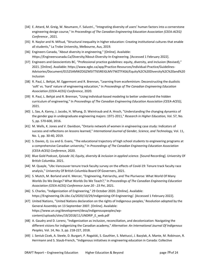- [34] E. Attard, M. Greig, W. Neumann, F. Salustri., "Integrating diversity of users' human factors into a cornerstone engineering design course," In *Proceedings of The Canadian Engineering Education Association (CEEA-ACEG) Conference* , 2021.
- [35] R. Naylor and N. Mifsud, "Structural inequality in higher education: Creating institutional cultures that enable all students," La Trobe University, Melbourne, Aus, 2019.
- [36] Engineers Canada, "About diversity in engineering," [Online]. Available: Https://Engineerscanada.Ca/Diversity/About-Diversity-In-Engineering. [Accessed 1 February 2022].
- [37] Engineers and Geoscientists BC, "Professional practice guidelines: equity, diversity, and inclusion (Revised)," 2021. [Online]. Available: https://www.egbc.ca/app/Practice-Resources/Individual-Practice/Guidelines-Advisories/Document/01525AMWZOGZM5ITT65REIGLMV7WZTFXG6/Equity%2C%20Diversity%2C%20and%20 Inclusion
- [38] R. Paul, L. Behjat, M. Eggermont and R. Brennan, "Learning from ecofeminism: Deconstructing the dualistic 'soft' vs. 'hard' nature of engineering education," In *Proceedings of The Canadian Engineering Education Association (CEEA-ACEG) Conference*, 2020.
- [39] R. Paul, L. Behjat and R. Brennan, "Using individual-based modeling to better understand the hidden curriculum of engineering," In *Proceedings of The Canadian Engineering Education Association (CEEA-ACEG)*, 2021.
- [40] L. Sax, A. Kanny, J. Jacobs, H. Whang, D. Weintraub and A. Hroch, "Understanding the changing dynamics of the gender gap in undergraduate engineering majors: 1971-2011," *Research in Higher Education,* Vol. 57, No. 5, pp. 570-600, 2016.
- [41] M. Wells, K. Jones and V. Davidson, "Ontario network of women in engineering case study: Indicators of success and reflections on lessons learned," *International Journal of Gender, Science, and Technology,* Vol. 11, No. 1, pp. 30-40, 2019.
- [42] S. Davies, Q. Liu and G. Evans, "The educational trajectory of high school students to engineering programs at a comprehensive Canadian university," In *Proceedings of The Canadian Engineering Education Association (CEEA-ACEG) Conference*, 2020.
- [43] Blue Gold Podcast, *Episode 16; Equity, diversity & inclusion in applied science.* [Sound Recording]. University Of British Columbia. 2021.
- [44] M. Quayle, "Ubc-Vancouver tenure track faculty survey on the effects of Covid-19: Tenure track faculty race analysis," University Of British Columbia Board Of Governers, 2021.
- [45] S. Mutch, M. Borland and K. Mercer, "Engineering, Patriarchy, and The Pluriverse: What World Of Many Worlds Do We Design? What Worlds Do We Teach?," In *Proceedings of The Canadian Engineering Education Association (CEEA-ACEG) Conference June 20 - 23 Pei*, 2021.
- [46] S. Charles, "Indigenization of Engineering," 29 October 2020. [Online]. Available: https://Engineering.Ok.Ubc.Ca/2020/10/29/Indigenizing-Of-Engineering/. [Accessed 1 February 2022].
- [47] United Nations, "United Nations declaration on the rights of Indigenous peoples,' Resolution adopted by the General Assembly on 13 September 2007. [Online]. Available: https://www.un.org/development/desa/indigenouspeoples/wpcontent/uploads/sites/19/2018/11/UNDRIP\_E\_web.pdf
- [48] A. Gaudry and D. Lorenz, "Indigenization as inclusion, reconciliation, and decolonization: Navigating the different visions for indigenizing the Canadian academy," *Alternative: An International Journal Of Indigenous Peoples,* Vol. 14, No. 3, pp. 218-227, 2018.
- [49] J. Seniuk Cicek, A. Steele, D. Burgart, P. Rogalski, S. Gauthier, S. Mattucci, J. Bazylak, A. Mante, M. Robinson, R. Herrmann and S. Staub-French, "Indigenous initiatives in engineering education in Canada: Collective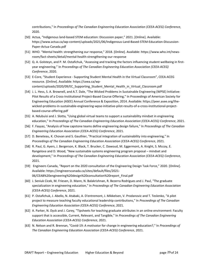contributions," In *Proceedings of The Canadian Engineering Education Association (CEEA-ACEG) Conference,* 2020.

- [50] Actua, "Indigenous land-based STEM education: Discussion paper," 2021. [Online]. Available: https://www.actua.ca/wp-content/uploads/2021/06/Indigenous-Land-Based-STEM-Education-Discussion-Paper-Actua-Canada.pdf
- [51] WHO. "Mental health: strengthening our response," 2018. [Online]. Available: https://www.who.int/newsroom/fact-sheets/detail/mental-health-strengthening-our-response
- [52] Q. A. Golsteyn, and P. M. Ostafichuk, "Assessing and tracking the factors influencing student wellbeing in firstyear engineering," In *Proceedings of The Canadian Engineering Education Association (CEEA-ACEG) Conference*, 2020.
- [53] E-Core, "Student Experience Supporting Student Mental Health in the Virtual Classroom", CEEA-ACEG resource. [Online]. Available: https://ceea.ca/wpcontent/uploads/2020/09/EC\_Supporting\_Student\_Mental\_Health\_in\_Virtual\_Classroom.pdf
- [54] J. L. Hess, S. A. Brownell, and A.T. Dale, "The Wicked Problems in Sustainable Engineering (WPSE) Initiative: Pilot Results of a Cross-Institutional Project-Based Course Offering," In Proceedings of American Society for Engineering Education (ASEE) Annual Conference & Exposition, 2014. Available: https://peer.asee.org/thewicked-problems-in-sustainable-engineering-wpse-initiative-pilot-results-of-a-cross-institutional-projectbased-course-offering.pdf
- [55] A. Ndubuisi and J. Slotta, "Using global virtual teams to support a sustainability mindset in engineering education," In *Proceedings of The Canadian Engineering Education Association (CEEA-ACEG) Conference*, 2021.
- [56] F. Fayyaz, "Analysis of how capstone teams define engineering design failure," In *Proceedings of The Canadian Engineering Education Association (CEEA-ACEG) Conference*, 2021.
- [57] D. Beneteau, K. Chovan and S. Gauthier, "Practical integration of sustainability into engineering," In *Proceedings of The Canadian Engineering Education Association (CEEA-ACEG) Conference*, 2021.
- [58] R. Paul, G. Ayers, J. Bergerson, K. Black, T. Brucker, C. Dawoud, M. Eggermont, A. Knight, S. Mccoy, E. Rangelova and D. Wood, "New sustainable systems engineering program proposal – mindset and development," In *Proceedings of The Canadian Engineering Education Association (CEEA-ACEG) Conference*, 2021.
- [59] Engineers Canada, "Report on the 2020 consultation of the Engineering Design Task Force," 2020. [Online]. Available: https://engineerscanada.ca/sites/default/files/2021- 06/CEAB%20engineering%20design%20consultation%20report\_Final.pdf
- [60] J. Seniuk Cicek, M. Friesen, D. Mann, N. Balakrishnan, R. Bezerra Rodrigues and J. Paul, "The graduate specialization in engineering education," In *Proceedings of The Canadian Engineering Education Association (CEEA-ACEG) Conference*, 2021.
- [61] P. Ostafichuk, J. Abello, N. Atabaki, A. D'entremont, J. Mikkelsen, V. Prodanovic and T. Teslenko, "A pilot project to measure teaching faculty educational leadership contributions," In *Proceedings of The Canadian Engineering Education Association (CEEA-ACEG) Conference*, 2021.
- [62] A. Parker, N. Dyck and J. Carey, "Tipsheets for teaching graduate attributes in an online environment: Faculty support that is accessible, Current, Relevant, and Tangible," In *Proceedings of The Canadian Engineering Education Association (CEEA-ACEG) Conference*, 2021.
- [63] N. Nelson and R. Brennan, "Covid-19: A motivator for change in engineering education?," In *Proceedings of The Canadian Engineering Education Association (CEEA-ACEG) Conference*, 2021.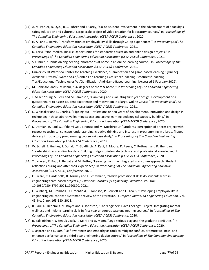- [64] A. M. Parker, N. Dyck, R. S. Fuhrer and J. Carey, "Co-op student involvement in the advancement of a faculty's safety education and culture: A Large-scale project of video creation for laboratory courses," In *Proceedings of The Canadian Engineering Education Association (CEEA-ACEG) Conference* , 2020.
- [65] H. Ali and J. Harris, "Transformation of employability skills through Co-op experiences," In *Proceedings of The Canadian Engineering Education Association (CEEA-ACEG) Conference*, 2021.
- [66] D. Torvi, "Non-medical masks: Opportunities for standards education and online design projects," In *Proceedings of The Canadian Engineering Education Association (CEEA-ACEG) Conference*, 2021.
- [67] S. O'brien, "Hands-on engineering laboratories at home in an online learning course," In *Proceedings of The Canadian Engineering Education Association (CEEA-ACEG) Conference*, 2021.
- [68] University Of Waterloo Center for Teaching Excellence, "Gamification and game-based learning," [Online]. Available: Https://Uwaterloo.Ca/Centre-For-Teaching-Excellence/Teaching-Resources/Teaching-Tips/Educational-Technologies/All/Gamification-And-Game-Based-Learning. [Accessed 1 February 2022].
- [69] M. Robinson and S. Minshull, "Six degrees of chem & bacon," In *Proceedings of The Canadian Engineering Education Association (CEEA-ACEG) Conference* , 2020.
- [70] J. Miller-Young, S. Beck and M. Jamieson, "Gamifying and evaluating first-year design: Development of a questionnaire to assess student experience and motivation in a large, Online Course," In *Proceedings of The Canadian Engineering Education Association (CEEA-ACEG) Conference*, 2021.
- [71] C. Whittaker and E. Charles, "Flipping out reflections on ten years of development, innovation and design in technology-rich collaborative learning spaces and active learning pedagogical capacity building," In *Proceedings of The Canadian Engineering Education Association (CEEA-ACEG) Conference* , 2020.
- [72] K. Dornian, R. Paul, S. Afkhami Goli, I. Rontu and M. Moshirpour, "Students' perception of a term project with respect to technical concepts understanding, creative thinking and interest in programming in a large, flipped delivery introductory programming course – A case study," In *Proceedings of The Canadian Engineering Education Association (CEEA-ACEG) Conference* , 2020.
- [73] W. Schell, B. Hughes, J. Donald, T. Goldfinch, A. Kadi, E. Moore, D. Reeve, C. Rottman and P. Sheridan, "Leadership transcending borders: Building bridges to integrate technical and professional knowledge," In *Proceedings of The Canadian Engineering Education Association (CEEA-ACEG) Conference*, 2020.
- [74] Y. Jazayeri, R. Paul, L. Behjat and M. Potter, "Learning from the integrated curriculum approach: Student reflections during and after their experience," In *Proceedings of The Canadian Engineering Education Association (CEEA-ACEG) Conference*, 2020.
- [75] C. Picard, C. Hardebolle, R. Tormey and J. Schiffmann, "Which professional skills do students learn in engineering team-based projects?," *European Journal Of Engineering Education,* Vol. Doi: 10.1080/03043797.2021.1920890, 2021.
- [76] C. Winberg, M. Bramhall, D. Greenfield, P. Johnson, P. Rowlett and O. Lewis, "Developing employability in engineering education: a systematic review of the literature," *European Journal Of Engineering Education,* Vol. 45, No. 2, pp. 165-180, 2018.
- [77] R. Paul, D. Dedemus, M. Boyce and K. Johnston, "The 'Engineers Have Feelings" Project: Integrating mental wellness and lifelong learning skills in first-year undergraduate engineering courses," In *Proceedings of The Canadian Engineering Education Association (CEEA-ACEG) Conference,* 2020.
- [78] R. Balakrishnan, J. Seniuk Cicek, P. Mani and D. Mann, "Lego serious play and the graduate attributes," In *Proceedings of The Canadian Engineering Education Association (CEEA-ACEG) Conference,* 2020.
- [79] J. Usprech and G. Lam, "Self-awareness and empathy as tools to mitigate conflict, promote wellness, and enhance performance in a third-year engineering design course," In *Proceedings of The Canadian Engineering Education Association (CEEA-ACEG) Conference* , 2020.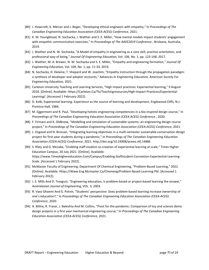- [80] J. Howcroft, K. Mercer and J. Boger, "Developing ethical engineers with empathy," In *Proceedings of The Canadian Engineering Education Association (CEEA-ACEG) Conference*, 2021.
- [81] K. M. Youngblood, N. Sochacka, J. Walther and S. E. Miller, "How mental models impact students' engagement with empathic communication exercises," In *Proceedings of The AAEE2019 Conference* , Brisbane, Australia, 2019.
- [82] J. Walther and N. W. Sochacka, "A Model of empathy in engineering as a core skill, practice orientation, and professional way of being," *Journal Of Engineering Education,* Vol. 106, No. 1, pp. 123-148, 2017.
- [83] J. Walther, M. A. Brewer, N. W. Sochacka and S. E. Miller, "Empathy and engineering formation," *Journal Of Engineering Education,* Vol. 109, No. 1, pp. 11-33, 2019.
- [84] N. Sochacka, D. Delaine, T. Shepard and W. Joachim, "Empathy instruction through the propagation paradigm: a synthesis of developer and adopter accounts," *Advances In Engineering Education, American Society For Engineering Education,* 2021.
- [85] Carleton University Teaching and Learning Services, "High impact practices: Experiential learning," 9 August 2018. [Online]. Available: Https://Carleton.Ca/Tls/Teachingresources/High-Impact-Practices/Experiential-Learning/. [Accessed 1 February 2022].
- [86] D. Kolb, Experiential learning: Experience as the source of learning and development, Englewood Cliffs, N.J: Prentice-Hall, 1984.
- [87] M. Eggermont and R. Paul, "Developing holistic engineering competencies in a bio-inspired design course," In *Proceedings of The Canadian Engineering Education Association (CEEA-ACEG) Conference* , 2020.
- [88] F. Firmani and K. Oldknow, "Modelling and simulation of sustainable systems: an engineering design course project," In *Proceedings of The Canadian Engineering Education Association (CEEA-ACEG) Conference*, 2021.
- [89] L. Osgood and N. Bressan, "Integrating learning objectives in a multi-semester sustainable conservation design project for first-year students during a pandemic," In *Proceedings of The Canadian Engineering Education Association (CEEA-ACEG) Conference*, 2021. http://doi.org/10.24908/pceea.vi0.14886
- [90] S. Riley and G. Mccabe, "Enabling staff-student co-creation of experiential learning at scale," Times Higher Education Campus, 20 July 2021. [Online]. Available: https://www.Timeshighereducation.Com/Campus/Enabling-Staffstudent-Cocreation-Experiential-Learning-Scale. [Accessed 1 February 2022].
- [91] McMaster Faculty of Engineering, Department Of Chemical Engineering, "Problem-Based Learning," 2022. [Online]. Available: Https://Www.Eng.Mcmaster.Ca/Chemeng/Problem-Based-Learning-Pbl. [Accessed 1 February 2022].
- [92] J. E. Mills And D. Treagust, "Engineering education, is problem-based or project-based learning the answer," *Australasian Journal of Engineering,* VOL. 3, 2003.
- [93] R. Vaez Ghaemi And G. Potvin, "Students' perspective: Does problem-based learning increase ownership of one's education?," In *Proceedings of The Canadian Engineering Education Association (CEEA-ACEG) Conference*, 2020.
- [94] A. Milne, R. Fraser, J. Baleshta And M. Collins, "Pivot for the pandemic: Comparison of toy and science demo design projects in a first year mechanical engineering course," In *Proceedings of The Canadian Engineering Education Association (CEEA-ACEG) Conference*, 2021.